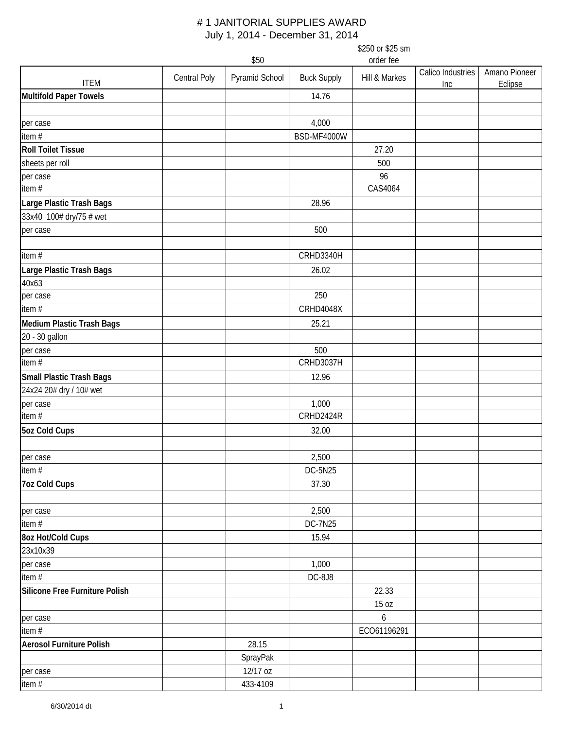|                                 |              | \$50           |                    | \$250 or \$25 sm<br>order fee |                          |                          |
|---------------------------------|--------------|----------------|--------------------|-------------------------------|--------------------------|--------------------------|
| <b>ITEM</b>                     | Central Poly | Pyramid School | <b>Buck Supply</b> | Hill & Markes                 | Calico Industries<br>Inc | Amano Pioneer<br>Eclipse |
| <b>Multifold Paper Towels</b>   |              |                | 14.76              |                               |                          |                          |
| per case                        |              |                | 4,000              |                               |                          |                          |
| item#                           |              |                | BSD-MF4000W        |                               |                          |                          |
| <b>Roll Toilet Tissue</b>       |              |                |                    | 27.20                         |                          |                          |
| sheets per roll                 |              |                |                    | 500                           |                          |                          |
| per case                        |              |                |                    | 96                            |                          |                          |
| item $#$                        |              |                |                    | CAS4064                       |                          |                          |
| Large Plastic Trash Bags        |              |                | 28.96              |                               |                          |                          |
| 33x40 100# dry/75 # wet         |              |                |                    |                               |                          |                          |
| per case                        |              |                | 500                |                               |                          |                          |
|                                 |              |                |                    |                               |                          |                          |
| item#                           |              |                | CRHD3340H          |                               |                          |                          |
| Large Plastic Trash Bags        |              |                | 26.02              |                               |                          |                          |
| 40x63                           |              |                |                    |                               |                          |                          |
| per case                        |              |                | 250                |                               |                          |                          |
| item #                          |              |                | CRHD4048X          |                               |                          |                          |
| Medium Plastic Trash Bags       |              |                | 25.21              |                               |                          |                          |
| 20 - 30 gallon                  |              |                |                    |                               |                          |                          |
| per case                        |              |                | 500                |                               |                          |                          |
| item $#$                        |              |                | <b>CRHD3037H</b>   |                               |                          |                          |
|                                 |              |                | 12.96              |                               |                          |                          |
| Small Plastic Trash Bags        |              |                |                    |                               |                          |                          |
| 24x24 20# dry / 10# wet         |              |                |                    |                               |                          |                          |
| per case<br>item #              |              |                | 1,000<br>CRHD2424R |                               |                          |                          |
|                                 |              |                |                    |                               |                          |                          |
| <b>5oz Cold Cups</b>            |              |                | 32.00              |                               |                          |                          |
| per case                        |              |                | 2,500              |                               |                          |                          |
| item $#$                        |              |                | DC-5N25            |                               |                          |                          |
| 7oz Cold Cups                   |              |                | 37.30              |                               |                          |                          |
| per case                        |              |                | 2,500              |                               |                          |                          |
| item $#$                        |              |                | <b>DC-7N25</b>     |                               |                          |                          |
| 8oz Hot/Cold Cups               |              |                | 15.94              |                               |                          |                          |
| 23x10x39                        |              |                |                    |                               |                          |                          |
| per case                        |              |                | 1,000              |                               |                          |                          |
| item $#$                        |              |                | DC-8J8             |                               |                          |                          |
| Silicone Free Furniture Polish  |              |                |                    | 22.33                         |                          |                          |
|                                 |              |                |                    | 15 oz                         |                          |                          |
| per case                        |              |                |                    | 6                             |                          |                          |
| item $#$                        |              |                |                    | ECO61196291                   |                          |                          |
| <b>Aerosol Furniture Polish</b> |              | 28.15          |                    |                               |                          |                          |
|                                 |              | SprayPak       |                    |                               |                          |                          |
| per case                        |              | 12/17 oz       |                    |                               |                          |                          |
| item #                          |              | 433-4109       |                    |                               |                          |                          |
|                                 |              |                |                    |                               |                          |                          |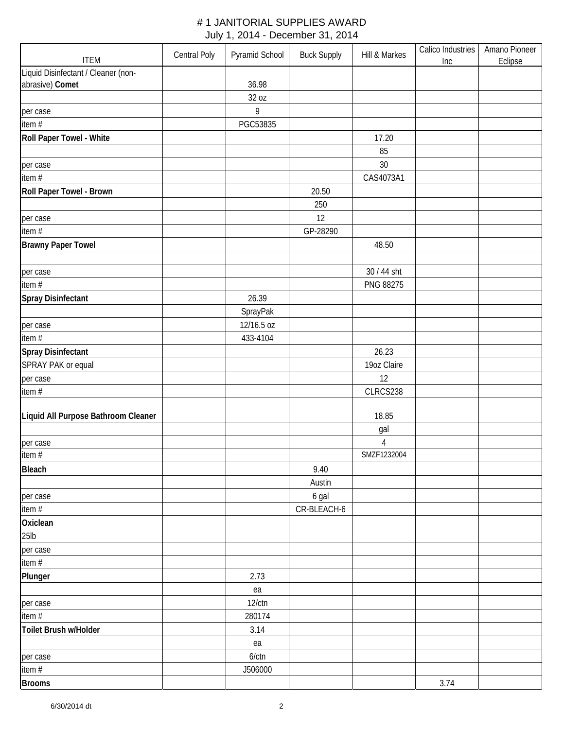| <b>ITEM</b>                         | Central Poly | Pyramid School | <b>Buck Supply</b> | Hill & Markes | Calico Industries<br>Inc | Amano Pioneer<br>Eclipse |
|-------------------------------------|--------------|----------------|--------------------|---------------|--------------------------|--------------------------|
| Liquid Disinfectant / Cleaner (non- |              |                |                    |               |                          |                          |
| abrasive) Comet                     |              | 36.98          |                    |               |                          |                          |
|                                     |              | 32 oz          |                    |               |                          |                          |
| per case                            |              | 9              |                    |               |                          |                          |
| item #                              |              | PGC53835       |                    |               |                          |                          |
| Roll Paper Towel - White            |              |                |                    | 17.20         |                          |                          |
|                                     |              |                |                    | 85            |                          |                          |
|                                     |              |                |                    | 30            |                          |                          |
| per case                            |              |                |                    |               |                          |                          |
| item #                              |              |                |                    | CAS4073A1     |                          |                          |
| Roll Paper Towel - Brown            |              |                | 20.50              |               |                          |                          |
|                                     |              |                | 250                |               |                          |                          |
| per case                            |              |                | 12                 |               |                          |                          |
| item #                              |              |                | GP-28290           |               |                          |                          |
| <b>Brawny Paper Towel</b>           |              |                |                    | 48.50         |                          |                          |
|                                     |              |                |                    |               |                          |                          |
| per case                            |              |                |                    | 30 / 44 sht   |                          |                          |
| item #                              |              |                |                    | PNG 88275     |                          |                          |
| Spray Disinfectant                  |              | 26.39          |                    |               |                          |                          |
|                                     |              | SprayPak       |                    |               |                          |                          |
| per case                            |              | 12/16.5 oz     |                    |               |                          |                          |
| item #                              |              | 433-4104       |                    |               |                          |                          |
| Spray Disinfectant                  |              |                |                    | 26.23         |                          |                          |
| SPRAY PAK or equal                  |              |                |                    | 19oz Claire   |                          |                          |
|                                     |              |                |                    | 12            |                          |                          |
| per case                            |              |                |                    | CLRCS238      |                          |                          |
| item#                               |              |                |                    |               |                          |                          |
| Liquid All Purpose Bathroom Cleaner |              |                |                    | 18.85         |                          |                          |
|                                     |              |                |                    | gal           |                          |                          |
| per case                            |              |                |                    | $\sqrt{4}$    |                          |                          |
| item #                              |              |                |                    | SMZF1232004   |                          |                          |
| <b>Bleach</b>                       |              |                | 9.40               |               |                          |                          |
|                                     |              |                | Austin             |               |                          |                          |
|                                     |              |                |                    |               |                          |                          |
| per case                            |              |                | 6 gal              |               |                          |                          |
| item #                              |              |                | CR-BLEACH-6        |               |                          |                          |
| Oxiclean                            |              |                |                    |               |                          |                          |
| 25 <sub>lb</sub>                    |              |                |                    |               |                          |                          |
| per case                            |              |                |                    |               |                          |                          |
| item #                              |              |                |                    |               |                          |                          |
| Plunger                             |              | 2.73           |                    |               |                          |                          |
|                                     |              | ea             |                    |               |                          |                          |
| per case                            |              | $12$ / $ctn$   |                    |               |                          |                          |
| item#                               |              | 280174         |                    |               |                          |                          |
| Toilet Brush w/Holder               |              | 3.14           |                    |               |                          |                          |
|                                     |              | ea             |                    |               |                          |                          |
| per case                            |              | $6$ / $ctn$    |                    |               |                          |                          |
| item #                              |              | J506000        |                    |               |                          |                          |
| <b>Brooms</b>                       |              |                |                    |               | 3.74                     |                          |
|                                     |              |                |                    |               |                          |                          |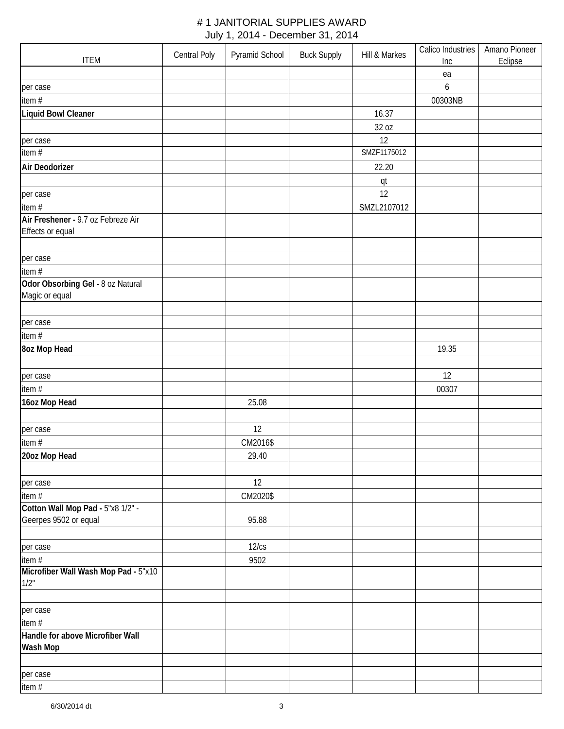| <b>ITEM</b>                          | Central Poly | Pyramid School | <b>Buck Supply</b> | Hill & Markes | Calico Industries<br>Inc | Amano Pioneer<br>Eclipse |
|--------------------------------------|--------------|----------------|--------------------|---------------|--------------------------|--------------------------|
|                                      |              |                |                    |               | ea                       |                          |
|                                      |              |                |                    |               | 6                        |                          |
| per case                             |              |                |                    |               |                          |                          |
| item #                               |              |                |                    |               | 00303NB                  |                          |
| Liquid Bowl Cleaner                  |              |                |                    | 16.37         |                          |                          |
|                                      |              |                |                    | 32 oz         |                          |                          |
| per case                             |              |                |                    | 12            |                          |                          |
| item $#$                             |              |                |                    | SMZF1175012   |                          |                          |
| Air Deodorizer                       |              |                |                    | 22.20         |                          |                          |
|                                      |              |                |                    | qt            |                          |                          |
| per case                             |              |                |                    | 12            |                          |                          |
| item #                               |              |                |                    | SMZL2107012   |                          |                          |
| Air Freshener - 9.7 oz Febreze Air   |              |                |                    |               |                          |                          |
| Effects or equal                     |              |                |                    |               |                          |                          |
|                                      |              |                |                    |               |                          |                          |
| per case                             |              |                |                    |               |                          |                          |
| item #                               |              |                |                    |               |                          |                          |
| Odor Obsorbing Gel - 8 oz Natural    |              |                |                    |               |                          |                          |
| Magic or equal                       |              |                |                    |               |                          |                          |
|                                      |              |                |                    |               |                          |                          |
| per case                             |              |                |                    |               |                          |                          |
| item #                               |              |                |                    |               |                          |                          |
| 8oz Mop Head                         |              |                |                    |               | 19.35                    |                          |
|                                      |              |                |                    |               |                          |                          |
| per case                             |              |                |                    |               | 12                       |                          |
| item#                                |              |                |                    |               | 00307                    |                          |
| 16oz Mop Head                        |              | 25.08          |                    |               |                          |                          |
|                                      |              |                |                    |               |                          |                          |
| per case                             |              | 12             |                    |               |                          |                          |
| item #                               |              | CM2016\$       |                    |               |                          |                          |
| 20oz Mop Head                        |              | 29.40          |                    |               |                          |                          |
|                                      |              |                |                    |               |                          |                          |
| per case                             |              | 12             |                    |               |                          |                          |
| item #                               |              | CM2020\$       |                    |               |                          |                          |
| Cotton Wall Mop Pad - 5"x8 1/2" -    |              |                |                    |               |                          |                          |
| Geerpes 9502 or equal                |              | 95.88          |                    |               |                          |                          |
|                                      |              |                |                    |               |                          |                          |
| per case                             |              | 12/cs          |                    |               |                          |                          |
| item #                               |              | 9502           |                    |               |                          |                          |
| Microfiber Wall Wash Mop Pad - 5"x10 |              |                |                    |               |                          |                          |
| 1/2"                                 |              |                |                    |               |                          |                          |
|                                      |              |                |                    |               |                          |                          |
| per case                             |              |                |                    |               |                          |                          |
| item#                                |              |                |                    |               |                          |                          |
| Handle for above Microfiber Wall     |              |                |                    |               |                          |                          |
| Wash Mop                             |              |                |                    |               |                          |                          |
|                                      |              |                |                    |               |                          |                          |
| per case                             |              |                |                    |               |                          |                          |
| item #                               |              |                |                    |               |                          |                          |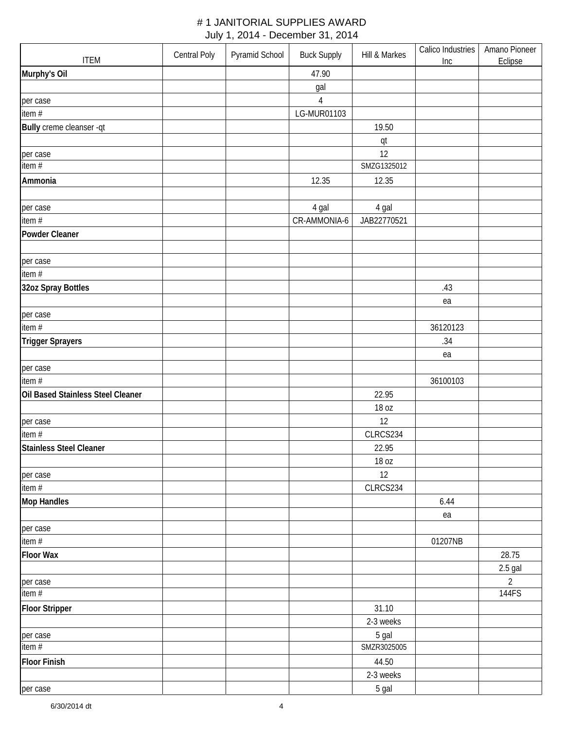| <b>ITEM</b>                       | Central Poly | Pyramid School | <b>Buck Supply</b> | Hill & Markes | Calico Industries<br>Inc | Amano Pioneer<br>Eclipse |
|-----------------------------------|--------------|----------------|--------------------|---------------|--------------------------|--------------------------|
| Murphy's Oil                      |              |                | 47.90              |               |                          |                          |
|                                   |              |                | gal                |               |                          |                          |
| per case                          |              |                | $\overline{4}$     |               |                          |                          |
| item #                            |              |                | LG-MUR01103        |               |                          |                          |
| Bully creme cleanser -qt          |              |                |                    | 19.50         |                          |                          |
|                                   |              |                |                    | qt            |                          |                          |
| per case                          |              |                |                    | 12            |                          |                          |
| item $#$                          |              |                |                    | SMZG1325012   |                          |                          |
| Ammonia                           |              |                | 12.35              | 12.35         |                          |                          |
| per case                          |              |                | 4 gal              | 4 gal         |                          |                          |
| item #                            |              |                | CR-AMMONIA-6       | JAB22770521   |                          |                          |
| <b>Powder Cleaner</b>             |              |                |                    |               |                          |                          |
|                                   |              |                |                    |               |                          |                          |
| per case                          |              |                |                    |               |                          |                          |
| item $#$                          |              |                |                    |               |                          |                          |
| 32oz Spray Bottles                |              |                |                    |               | .43                      |                          |
|                                   |              |                |                    |               | ea                       |                          |
| per case                          |              |                |                    |               |                          |                          |
| item #                            |              |                |                    |               | 36120123                 |                          |
| <b>Trigger Sprayers</b>           |              |                |                    |               | .34                      |                          |
|                                   |              |                |                    |               | ea                       |                          |
| per case                          |              |                |                    |               |                          |                          |
| item#                             |              |                |                    |               | 36100103                 |                          |
| Oil Based Stainless Steel Cleaner |              |                |                    | 22.95         |                          |                          |
|                                   |              |                |                    | 18 oz         |                          |                          |
| per case                          |              |                |                    | 12            |                          |                          |
| item #                            |              |                |                    | CLRCS234      |                          |                          |
| <b>Stainless Steel Cleaner</b>    |              |                |                    | 22.95         |                          |                          |
|                                   |              |                |                    | 18 oz         |                          |                          |
| per case                          |              |                |                    | 12            |                          |                          |
| item#                             |              |                |                    | CLRCS234      |                          |                          |
| <b>Mop Handles</b>                |              |                |                    |               | 6.44                     |                          |
|                                   |              |                |                    |               | ea                       |                          |
| per case                          |              |                |                    |               |                          |                          |
| item #                            |              |                |                    |               | 01207NB                  |                          |
| <b>Floor Wax</b>                  |              |                |                    |               |                          | 28.75                    |
|                                   |              |                |                    |               |                          | $2.5$ gal                |
| per case                          |              |                |                    |               |                          | $\overline{2}$           |
| item $#$                          |              |                |                    |               |                          | 144FS                    |
| <b>Floor Stripper</b>             |              |                |                    | 31.10         |                          |                          |
|                                   |              |                |                    | 2-3 weeks     |                          |                          |
| per case                          |              |                |                    | 5 gal         |                          |                          |
| item $#$                          |              |                |                    | SMZR3025005   |                          |                          |
| <b>Floor Finish</b>               |              |                |                    | 44.50         |                          |                          |
|                                   |              |                |                    | 2-3 weeks     |                          |                          |
| per case                          |              |                |                    | 5 gal         |                          |                          |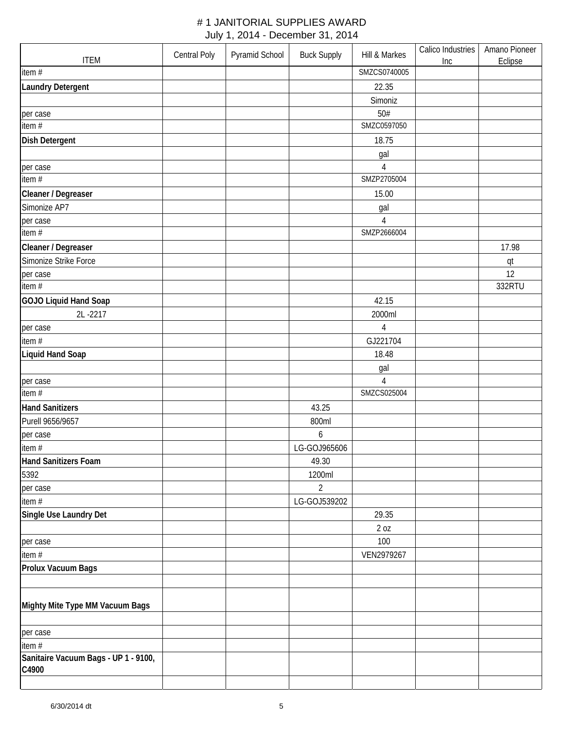| <b>ITEM</b>                                   | Central Poly | Pyramid School | <b>Buck Supply</b> | Hill & Markes                 | Calico Industries<br>Inc | Amano Pioneer<br>Eclipse |
|-----------------------------------------------|--------------|----------------|--------------------|-------------------------------|--------------------------|--------------------------|
| item #                                        |              |                |                    | SMZCS0740005                  |                          |                          |
| <b>Laundry Detergent</b>                      |              |                |                    | 22.35                         |                          |                          |
|                                               |              |                |                    | Simoniz                       |                          |                          |
| per case                                      |              |                |                    | 50#                           |                          |                          |
| item #                                        |              |                |                    | SMZC0597050                   |                          |                          |
| <b>Dish Detergent</b>                         |              |                |                    | 18.75                         |                          |                          |
|                                               |              |                |                    | gal                           |                          |                          |
| per case                                      |              |                |                    | 4                             |                          |                          |
| item $#$                                      |              |                |                    | SMZP2705004                   |                          |                          |
| Cleaner / Degreaser                           |              |                |                    | 15.00                         |                          |                          |
| Simonize AP7                                  |              |                |                    | gal                           |                          |                          |
| per case                                      |              |                |                    | $\overline{4}$                |                          |                          |
| item #                                        |              |                |                    | SMZP2666004                   |                          |                          |
| Cleaner / Degreaser                           |              |                |                    |                               |                          | 17.98                    |
| Simonize Strike Force                         |              |                |                    |                               |                          | qt                       |
| per case                                      |              |                |                    |                               |                          | 12                       |
| item $#$                                      |              |                |                    |                               |                          | 332RTU                   |
| GOJO Liquid Hand Soap                         |              |                |                    | 42.15                         |                          |                          |
| 2L-2217                                       |              |                |                    | 2000ml                        |                          |                          |
| per case                                      |              |                |                    | 4                             |                          |                          |
| item #                                        |              |                |                    | GJ221704                      |                          |                          |
| <b>Liquid Hand Soap</b>                       |              |                |                    | 18.48                         |                          |                          |
|                                               |              |                |                    | gal                           |                          |                          |
| per case<br>item #                            |              |                |                    | $\overline{4}$<br>SMZCS025004 |                          |                          |
|                                               |              |                |                    |                               |                          |                          |
| <b>Hand Sanitizers</b><br>Purell 9656/9657    |              |                | 43.25              |                               |                          |                          |
|                                               |              |                | 800ml<br>6         |                               |                          |                          |
| per case<br>item#                             |              |                | LG-GOJ965606       |                               |                          |                          |
| <b>Hand Sanitizers Foam</b>                   |              |                | 49.30              |                               |                          |                          |
| 5392                                          |              |                | 1200ml             |                               |                          |                          |
| per case                                      |              |                | $\overline{2}$     |                               |                          |                          |
| item $#$                                      |              |                | LG-GOJ539202       |                               |                          |                          |
| Single Use Laundry Det                        |              |                |                    | 29.35                         |                          |                          |
|                                               |              |                |                    | 2 oz                          |                          |                          |
| per case                                      |              |                |                    | 100                           |                          |                          |
| item #                                        |              |                |                    | VEN2979267                    |                          |                          |
| Prolux Vacuum Bags                            |              |                |                    |                               |                          |                          |
|                                               |              |                |                    |                               |                          |                          |
| Mighty Mite Type MM Vacuum Bags               |              |                |                    |                               |                          |                          |
| per case                                      |              |                |                    |                               |                          |                          |
| item #                                        |              |                |                    |                               |                          |                          |
| Sanitaire Vacuum Bags - UP 1 - 9100,<br>C4900 |              |                |                    |                               |                          |                          |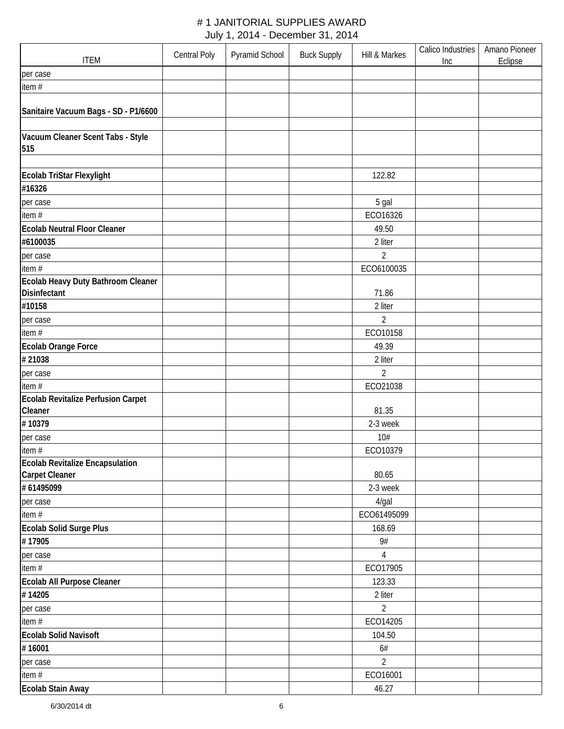| <b>ITEM</b>                          | <b>Central Poly</b> | Pyramid School | <b>Buck Supply</b> | Hill & Markes  | Calico Industries<br>Inc | Amano Pioneer<br>Eclipse |
|--------------------------------------|---------------------|----------------|--------------------|----------------|--------------------------|--------------------------|
| per case                             |                     |                |                    |                |                          |                          |
| item #                               |                     |                |                    |                |                          |                          |
|                                      |                     |                |                    |                |                          |                          |
| Sanitaire Vacuum Bags - SD - P1/6600 |                     |                |                    |                |                          |                          |
|                                      |                     |                |                    |                |                          |                          |
| Vacuum Cleaner Scent Tabs - Style    |                     |                |                    |                |                          |                          |
| 515                                  |                     |                |                    |                |                          |                          |
|                                      |                     |                |                    |                |                          |                          |
| Ecolab TriStar Flexylight            |                     |                |                    | 122.82         |                          |                          |
| #16326                               |                     |                |                    |                |                          |                          |
| per case                             |                     |                |                    | 5 gal          |                          |                          |
| item#                                |                     |                |                    | ECO16326       |                          |                          |
| <b>Ecolab Neutral Floor Cleaner</b>  |                     |                |                    | 49.50          |                          |                          |
| #6100035                             |                     |                |                    | 2 liter        |                          |                          |
| per case                             |                     |                |                    | $\overline{2}$ |                          |                          |
| item #                               |                     |                |                    | ECO6100035     |                          |                          |
| Ecolab Heavy Duty Bathroom Cleaner   |                     |                |                    |                |                          |                          |
| Disinfectant                         |                     |                |                    | 71.86          |                          |                          |
| #10158                               |                     |                |                    | 2 liter        |                          |                          |
| per case                             |                     |                |                    | $\overline{2}$ |                          |                          |
| item#                                |                     |                |                    | ECO10158       |                          |                          |
| Ecolab Orange Force                  |                     |                |                    | 49.39          |                          |                          |
| #21038                               |                     |                |                    | 2 liter        |                          |                          |
| per case                             |                     |                |                    | $\overline{2}$ |                          |                          |
| item#                                |                     |                |                    | ECO21038       |                          |                          |
| Ecolab Revitalize Perfusion Carpet   |                     |                |                    |                |                          |                          |
| Cleaner                              |                     |                |                    | 81.35          |                          |                          |
| #10379                               |                     |                |                    | 2-3 week       |                          |                          |
| per case                             |                     |                |                    | 10#            |                          |                          |
| item #                               |                     |                |                    | ECO10379       |                          |                          |
| Ecolab Revitalize Encapsulation      |                     |                |                    |                |                          |                          |
| <b>Carpet Cleaner</b>                |                     |                |                    | 80.65          |                          |                          |
| # 61495099                           |                     |                |                    | 2-3 week       |                          |                          |
| per case                             |                     |                |                    | 4/gal          |                          |                          |
| item#                                |                     |                |                    | ECO61495099    |                          |                          |
| Ecolab Solid Surge Plus              |                     |                |                    | 168.69         |                          |                          |
| #17905                               |                     |                |                    | 9#             |                          |                          |
| per case                             |                     |                |                    | 4              |                          |                          |
| item#                                |                     |                |                    | ECO17905       |                          |                          |
| Ecolab All Purpose Cleaner           |                     |                |                    | 123.33         |                          |                          |
| #14205                               |                     |                |                    | 2 liter        |                          |                          |
| per case                             |                     |                |                    | 2              |                          |                          |
| item #                               |                     |                |                    | ECO14205       |                          |                          |
| <b>Ecolab Solid Navisoft</b>         |                     |                |                    | 104.50         |                          |                          |
| #16001                               |                     |                |                    | $6#$           |                          |                          |
| per case                             |                     |                |                    | $\overline{2}$ |                          |                          |
| item #                               |                     |                |                    | ECO16001       |                          |                          |
| Ecolab Stain Away                    |                     |                |                    | 46.27          |                          |                          |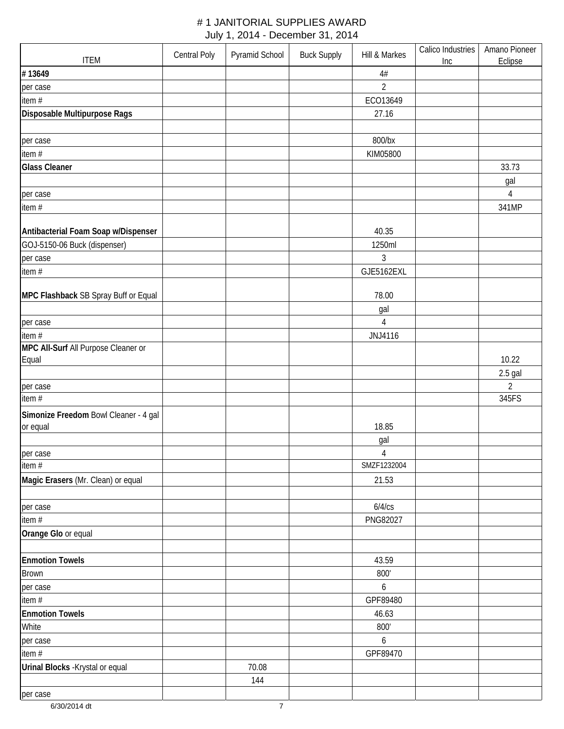| <b>ITEM</b>                           | Central Poly | Pyramid School | <b>Buck Supply</b> | Hill & Markes  | Calico Industries<br>Inc | Amano Pioneer<br>Eclipse |
|---------------------------------------|--------------|----------------|--------------------|----------------|--------------------------|--------------------------|
| #13649                                |              |                |                    | $4\#$          |                          |                          |
| per case                              |              |                |                    | $\overline{2}$ |                          |                          |
| item #                                |              |                |                    | ECO13649       |                          |                          |
| Disposable Multipurpose Rags          |              |                |                    | 27.16          |                          |                          |
|                                       |              |                |                    |                |                          |                          |
| per case                              |              |                |                    | 800/bx         |                          |                          |
| item #                                |              |                |                    | KIM05800       |                          |                          |
| <b>Glass Cleaner</b>                  |              |                |                    |                |                          | 33.73                    |
|                                       |              |                |                    |                |                          | gal                      |
| per case                              |              |                |                    |                |                          | 4                        |
| item #                                |              |                |                    |                |                          | 341MP                    |
|                                       |              |                |                    |                |                          |                          |
| Antibacterial Foam Soap w/Dispenser   |              |                |                    | 40.35          |                          |                          |
| GOJ-5150-06 Buck (dispenser)          |              |                |                    | 1250ml         |                          |                          |
| per case                              |              |                |                    | $\mathfrak{Z}$ |                          |                          |
| item #                                |              |                |                    | GJE5162EXL     |                          |                          |
|                                       |              |                |                    |                |                          |                          |
| MPC Flashback SB Spray Buff or Equal  |              |                |                    | 78.00          |                          |                          |
|                                       |              |                |                    | gal            |                          |                          |
| per case                              |              |                |                    | 4              |                          |                          |
| item $#$                              |              |                |                    | JNJ4116        |                          |                          |
| MPC All-Surf All Purpose Cleaner or   |              |                |                    |                |                          |                          |
| Equal                                 |              |                |                    |                |                          | 10.22                    |
|                                       |              |                |                    |                |                          | $2.5$ gal                |
| per case                              |              |                |                    |                |                          | $\overline{2}$           |
| item#                                 |              |                |                    |                |                          | 345FS                    |
| Simonize Freedom Bowl Cleaner - 4 gal |              |                |                    |                |                          |                          |
| or equal                              |              |                |                    | 18.85          |                          |                          |
|                                       |              |                |                    | gal            |                          |                          |
| per case                              |              |                |                    | $\sqrt{4}$     |                          |                          |
| item #                                |              |                |                    | SMZF1232004    |                          |                          |
| Magic Erasers (Mr. Clean) or equal    |              |                |                    | 21.53          |                          |                          |
|                                       |              |                |                    |                |                          |                          |
| per case                              |              |                |                    | 6/4/cs         |                          |                          |
| item #                                |              |                |                    | PNG82027       |                          |                          |
| Orange Glo or equal                   |              |                |                    |                |                          |                          |
|                                       |              |                |                    |                |                          |                          |
| <b>Enmotion Towels</b>                |              |                |                    | 43.59          |                          |                          |
| <b>Brown</b>                          |              |                |                    | 800'           |                          |                          |
| per case                              |              |                |                    | 6              |                          |                          |
| item #                                |              |                |                    | GPF89480       |                          |                          |
| <b>Enmotion Towels</b>                |              |                |                    | 46.63          |                          |                          |
| White                                 |              |                |                    | 800'           |                          |                          |
| per case                              |              |                |                    | 6              |                          |                          |
| item $#$                              |              |                |                    | GPF89470       |                          |                          |
| Urinal Blocks - Krystal or equal      |              | 70.08          |                    |                |                          |                          |
|                                       |              | 144            |                    |                |                          |                          |
| per case                              |              |                |                    |                |                          |                          |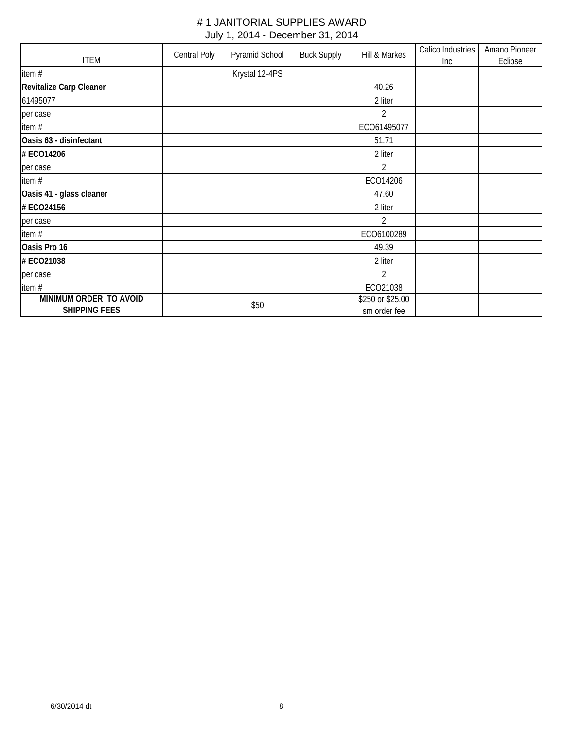|                                                | Central Poly | Pyramid School | <b>Buck Supply</b> | Hill & Markes                    | Calico Industries | Amano Pioneer |
|------------------------------------------------|--------------|----------------|--------------------|----------------------------------|-------------------|---------------|
| <b>ITEM</b>                                    |              |                |                    |                                  | Inc               | Eclipse       |
| item#                                          |              | Krystal 12-4PS |                    |                                  |                   |               |
| <b>Revitalize Carp Cleaner</b>                 |              |                |                    | 40.26                            |                   |               |
| 61495077                                       |              |                |                    | 2 liter                          |                   |               |
| per case                                       |              |                |                    | 2                                |                   |               |
| item #                                         |              |                |                    | ECO61495077                      |                   |               |
| Oasis 63 - disinfectant                        |              |                |                    | 51.71                            |                   |               |
| # ECO14206                                     |              |                |                    | 2 liter                          |                   |               |
| per case                                       |              |                |                    | $\overline{2}$                   |                   |               |
| item #                                         |              |                |                    | ECO14206                         |                   |               |
| Oasis 41 - glass cleaner                       |              |                |                    | 47.60                            |                   |               |
| # ECO24156                                     |              |                |                    | 2 liter                          |                   |               |
| per case                                       |              |                |                    | $\overline{2}$                   |                   |               |
| item#                                          |              |                |                    | ECO6100289                       |                   |               |
| Oasis Pro 16                                   |              |                |                    | 49.39                            |                   |               |
| # ECO21038                                     |              |                |                    | 2 liter                          |                   |               |
| per case                                       |              |                |                    | $\overline{2}$                   |                   |               |
| item#                                          |              |                |                    | ECO21038                         |                   |               |
| MINIMUM ORDER TO AVOID<br><b>SHIPPING FEES</b> |              | \$50           |                    | \$250 or \$25.00<br>sm order fee |                   |               |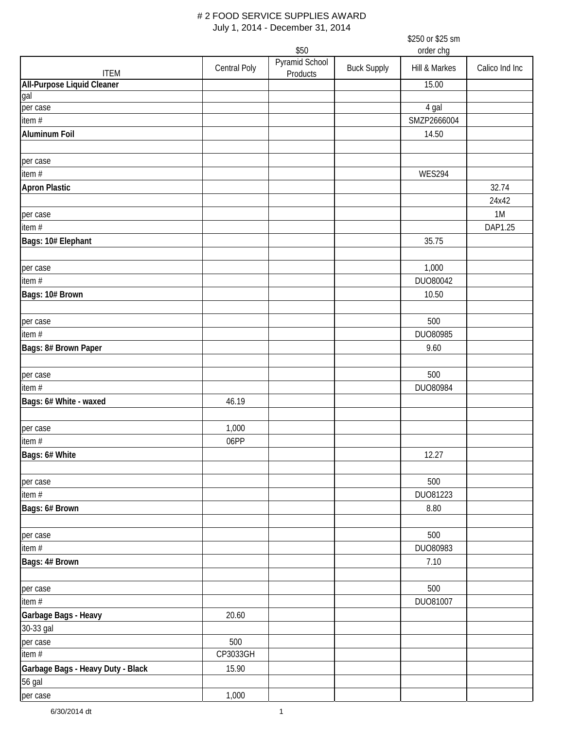|                                   |              | \$50                       |                    | order chg          |                |
|-----------------------------------|--------------|----------------------------|--------------------|--------------------|----------------|
| <b>ITEM</b>                       | Central Poly | Pyramid School<br>Products | <b>Buck Supply</b> | Hill & Markes      | Calico Ind Inc |
| <b>All-Purpose Liquid Cleaner</b> |              |                            |                    | 15.00              |                |
| gal                               |              |                            |                    |                    |                |
| per case                          |              |                            |                    | $\overline{4}$ gal |                |
| item $#$                          |              |                            |                    | SMZP2666004        |                |
| <b>Aluminum Foil</b>              |              |                            |                    | 14.50              |                |
| per case                          |              |                            |                    |                    |                |
| item #                            |              |                            |                    | <b>WES294</b>      |                |
| <b>Apron Plastic</b>              |              |                            |                    |                    | 32.74<br>24x42 |
| per case                          |              |                            |                    |                    | 1M             |
| item #                            |              |                            |                    |                    | DAP1.25        |
| Bags: 10# Elephant                |              |                            |                    | 35.75              |                |
|                                   |              |                            |                    | 1,000              |                |
| per case<br>item $#$              |              |                            |                    | DU080042           |                |
|                                   |              |                            |                    | 10.50              |                |
| Bags: 10# Brown                   |              |                            |                    |                    |                |
| per case                          |              |                            |                    | 500                |                |
| item $#$                          |              |                            |                    | DUO80985           |                |
| Bags: 8# Brown Paper              |              |                            |                    | 9.60               |                |
| per case                          |              |                            |                    | 500                |                |
| item $#$                          |              |                            |                    | DUO80984           |                |
| Bags: 6# White - waxed            | 46.19        |                            |                    |                    |                |
|                                   |              |                            |                    |                    |                |
| per case                          | 1,000        |                            |                    |                    |                |
| item #                            | 06PP         |                            |                    |                    |                |
| Bags: 6# White                    |              |                            |                    | 12.27              |                |
| per case                          |              |                            |                    | 500                |                |
| item $#$                          |              |                            |                    | DU081223           |                |
| Bags: 6# Brown                    |              |                            |                    | 8.80               |                |
|                                   |              |                            |                    |                    |                |
| per case                          |              |                            |                    | 500                |                |
| item #                            |              |                            |                    | DUO80983           |                |
| Bags: 4# Brown                    |              |                            |                    | 7.10               |                |
| per case                          |              |                            |                    | 500                |                |
| item #                            |              |                            |                    | DU081007           |                |
| Garbage Bags - Heavy              | 20.60        |                            |                    |                    |                |
| 30-33 gal                         |              |                            |                    |                    |                |
| per case                          | 500          |                            |                    |                    |                |
| item #                            | CP3033GH     |                            |                    |                    |                |
| Garbage Bags - Heavy Duty - Black | 15.90        |                            |                    |                    |                |
| 56 gal                            |              |                            |                    |                    |                |
| per case                          | 1,000        |                            |                    |                    |                |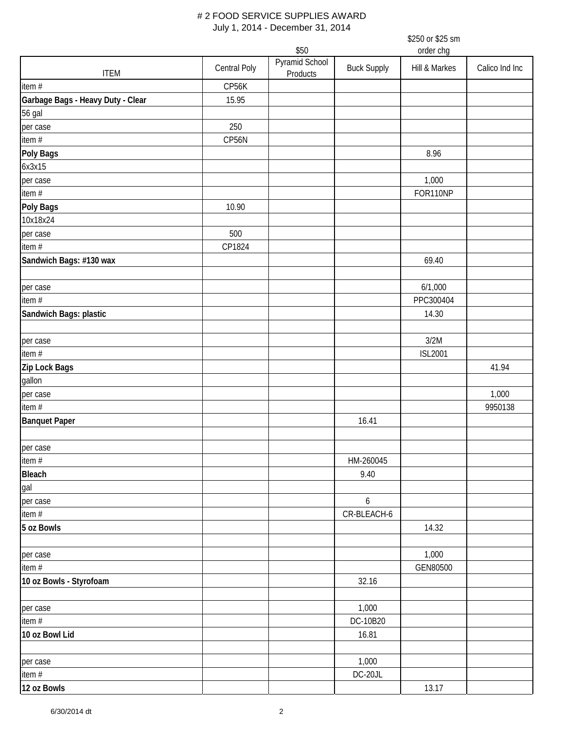|                                   |                     | \$50                       |                    | order chg      |                |
|-----------------------------------|---------------------|----------------------------|--------------------|----------------|----------------|
| <b>ITEM</b>                       | <b>Central Poly</b> | Pyramid School<br>Products | <b>Buck Supply</b> | Hill & Markes  | Calico Ind Inc |
| item #                            | CP56K               |                            |                    |                |                |
| Garbage Bags - Heavy Duty - Clear | 15.95               |                            |                    |                |                |
| 56 gal                            |                     |                            |                    |                |                |
| per case                          | 250                 |                            |                    |                |                |
| item #                            | CP56N               |                            |                    |                |                |
| Poly Bags                         |                     |                            |                    | 8.96           |                |
| 6x3x15                            |                     |                            |                    |                |                |
| per case                          |                     |                            |                    | 1,000          |                |
| item #                            |                     |                            |                    | FOR110NP       |                |
| Poly Bags                         | 10.90               |                            |                    |                |                |
| 10x18x24                          |                     |                            |                    |                |                |
| per case                          | 500                 |                            |                    |                |                |
| item #                            | CP1824              |                            |                    |                |                |
| Sandwich Bags: #130 wax           |                     |                            |                    | 69.40          |                |
| per case                          |                     |                            |                    | 6/1,000        |                |
| item $#$                          |                     |                            |                    | PPC300404      |                |
| Sandwich Bags: plastic            |                     |                            |                    | 14.30          |                |
| per case                          |                     |                            |                    | 3/2M           |                |
| item $#$                          |                     |                            |                    | <b>ISL2001</b> |                |
| Zip Lock Bags                     |                     |                            |                    |                | 41.94          |
| gallon                            |                     |                            |                    |                |                |
| per case                          |                     |                            |                    |                | 1,000          |
| item $#$                          |                     |                            |                    |                | 9950138        |
| <b>Banquet Paper</b>              |                     |                            | 16.41              |                |                |
| per case                          |                     |                            |                    |                |                |
| item #                            |                     |                            | HM-260045          |                |                |
| Bleach<br>gal<br>per case         |                     |                            | 9.40               |                |                |
|                                   |                     |                            |                    |                |                |
|                                   |                     |                            | $\boldsymbol{6}$   |                |                |
| item #                            |                     |                            | CR-BLEACH-6        |                |                |
| 5 oz Bowls                        |                     |                            |                    | 14.32          |                |
| per case                          |                     |                            |                    | 1,000          |                |
| item $#$                          |                     |                            |                    | GEN80500       |                |
| 10 oz Bowls - Styrofoam           |                     |                            | 32.16              |                |                |
| per case                          |                     |                            | 1,000              |                |                |
| item #                            |                     |                            | DC-10B20           |                |                |
| 10 oz Bowl Lid                    |                     |                            | 16.81              |                |                |
| per case                          |                     |                            | 1,000              |                |                |
| item #                            |                     |                            | DC-20JL            |                |                |
| 12 oz Bowls                       |                     |                            |                    | 13.17          |                |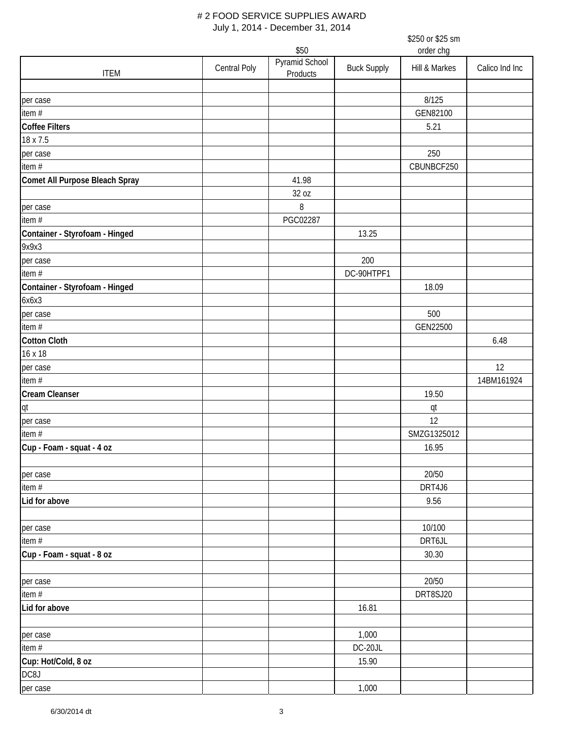|                                |              |                |                    | \$250 or \$25 sm |                |
|--------------------------------|--------------|----------------|--------------------|------------------|----------------|
|                                |              | \$50           |                    | order chg        |                |
|                                | Central Poly | Pyramid School | <b>Buck Supply</b> | Hill & Markes    | Calico Ind Inc |
| <b>ITEM</b>                    |              | Products       |                    |                  |                |
|                                |              |                |                    |                  |                |
| per case                       |              |                |                    | 8/125            |                |
| item #                         |              |                |                    | GEN82100         |                |
| Coffee Filters                 |              |                |                    | 5.21             |                |
| 18 x 7.5                       |              |                |                    |                  |                |
| per case                       |              |                |                    | 250              |                |
| item $#$                       |              |                |                    | CBUNBCF250       |                |
| Comet All Purpose Bleach Spray |              | 41.98          |                    |                  |                |
|                                |              | 32 oz          |                    |                  |                |
| per case                       |              | 8              |                    |                  |                |
| item #                         |              | PGC02287       |                    |                  |                |
| Container - Styrofoam - Hinged |              |                | 13.25              |                  |                |
| 9x9x3                          |              |                |                    |                  |                |
| per case                       |              |                | 200                |                  |                |
| item#                          |              |                | DC-90HTPF1         |                  |                |
| Container - Styrofoam - Hinged |              |                |                    | 18.09            |                |
| 6x6x3                          |              |                |                    |                  |                |
| per case                       |              |                |                    | 500              |                |
| item #                         |              |                |                    | GEN22500         |                |
| <b>Cotton Cloth</b>            |              |                |                    |                  | 6.48           |
| 16 x 18                        |              |                |                    |                  |                |
| per case                       |              |                |                    |                  | 12             |
| item #                         |              |                |                    |                  | 14BM161924     |
| <b>Cream Cleanser</b>          |              |                |                    | 19.50            |                |
| qt                             |              |                |                    | qt               |                |
| per case                       |              |                |                    | 12               |                |
| item #                         |              |                |                    | SMZG1325012      |                |
| Cup - Foam - squat - 4 oz      |              |                |                    | 16.95            |                |
|                                |              |                |                    |                  |                |
| per case                       |              |                |                    | 20/50            |                |
| item $#$                       |              |                |                    | DRT4J6           |                |
| Lid for above                  |              |                |                    | 9.56             |                |
|                                |              |                |                    |                  |                |
|                                |              |                |                    | 10/100           |                |
| per case<br>item $#$           |              |                |                    | DRT6JL           |                |
| Cup - Foam - squat - 8 oz      |              |                |                    | 30.30            |                |
|                                |              |                |                    |                  |                |
|                                |              |                |                    |                  |                |
| per case                       |              |                |                    | 20/50            |                |
| item#                          |              |                |                    | DRT8SJ20         |                |
| Lid for above                  |              |                | 16.81              |                  |                |
|                                |              |                |                    |                  |                |
| per case                       |              |                | 1,000              |                  |                |
| item #                         |              |                | DC-20JL            |                  |                |
| Cup: Hot/Cold, 8 oz            |              |                | 15.90              |                  |                |
| DC8J                           |              |                |                    |                  |                |
| per case                       |              |                | 1,000              |                  |                |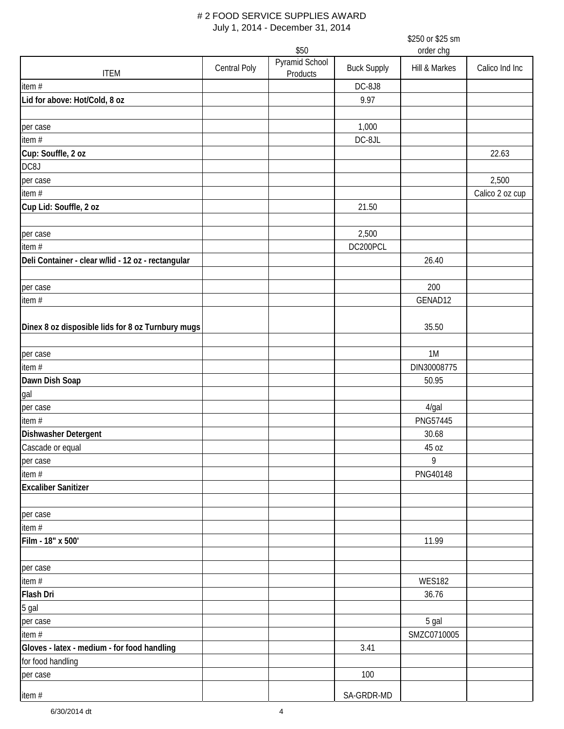|                                                    |              |                        |                    | \$250 or \$25 sm<br>order chg |                 |  |  |
|----------------------------------------------------|--------------|------------------------|--------------------|-------------------------------|-----------------|--|--|
|                                                    |              | \$50<br>Pyramid School |                    |                               |                 |  |  |
| <b>ITEM</b>                                        | Central Poly | Products               | <b>Buck Supply</b> | Hill & Markes                 | Calico Ind Inc  |  |  |
| item #                                             |              |                        | DC-8J8             |                               |                 |  |  |
| Lid for above: Hot/Cold, 8 oz                      |              |                        | 9.97               |                               |                 |  |  |
|                                                    |              |                        |                    |                               |                 |  |  |
| per case                                           |              |                        | 1,000              |                               |                 |  |  |
| item #                                             |              |                        | DC-8JL             |                               |                 |  |  |
| Cup: Souffle, 2 oz                                 |              |                        |                    |                               | 22.63           |  |  |
| DC8J                                               |              |                        |                    |                               |                 |  |  |
| per case                                           |              |                        |                    |                               | 2,500           |  |  |
| item #                                             |              |                        |                    |                               | Calico 2 oz cup |  |  |
| Cup Lid: Souffle, 2 oz                             |              |                        | 21.50              |                               |                 |  |  |
|                                                    |              |                        |                    |                               |                 |  |  |
| per case                                           |              |                        | 2,500              |                               |                 |  |  |
| item $#$                                           |              |                        | DC200PCL           |                               |                 |  |  |
| Deli Container - clear w/lid - 12 oz - rectangular |              |                        |                    | 26.40                         |                 |  |  |
|                                                    |              |                        |                    |                               |                 |  |  |
| per case                                           |              |                        |                    | 200                           |                 |  |  |
| item#                                              |              |                        |                    | GENAD12                       |                 |  |  |
|                                                    |              |                        |                    |                               |                 |  |  |
| Dinex 8 oz disposible lids for 8 oz Turnbury mugs  |              |                        |                    | 35.50                         |                 |  |  |
|                                                    |              |                        |                    |                               |                 |  |  |
| per case                                           |              |                        |                    | 1M                            |                 |  |  |
| item#                                              |              |                        |                    | DIN30008775                   |                 |  |  |
| Dawn Dish Soap                                     |              |                        |                    | 50.95                         |                 |  |  |
| gal                                                |              |                        |                    |                               |                 |  |  |
| per case                                           |              |                        |                    | 4/gal                         |                 |  |  |
| item #                                             |              |                        |                    | PNG57445                      |                 |  |  |
| Dishwasher Detergent                               |              |                        |                    | 30.68                         |                 |  |  |
| Cascade or equal                                   |              |                        |                    | 45 oz                         |                 |  |  |
| per case                                           |              |                        |                    | 9                             |                 |  |  |
| item #                                             |              |                        |                    | PNG40148                      |                 |  |  |
| <b>Excaliber Sanitizer</b>                         |              |                        |                    |                               |                 |  |  |
|                                                    |              |                        |                    |                               |                 |  |  |
| per case                                           |              |                        |                    |                               |                 |  |  |
| item#                                              |              |                        |                    |                               |                 |  |  |
| Film - 18" x 500'                                  |              |                        |                    | 11.99                         |                 |  |  |
|                                                    |              |                        |                    |                               |                 |  |  |
| per case                                           |              |                        |                    |                               |                 |  |  |
| item#                                              |              |                        |                    | <b>WES182</b>                 |                 |  |  |
| Flash Dri                                          |              |                        |                    | 36.76                         |                 |  |  |
| 5 gal                                              |              |                        |                    |                               |                 |  |  |
| per case                                           |              |                        |                    | 5 gal                         |                 |  |  |
| item #                                             |              |                        |                    | SMZC0710005                   |                 |  |  |
| Gloves - latex - medium - for food handling        |              |                        | 3.41               |                               |                 |  |  |
| for food handling                                  |              |                        |                    |                               |                 |  |  |
| per case                                           |              |                        | 100                |                               |                 |  |  |
|                                                    |              |                        | SA-GRDR-MD         |                               |                 |  |  |
| item#                                              |              |                        |                    |                               |                 |  |  |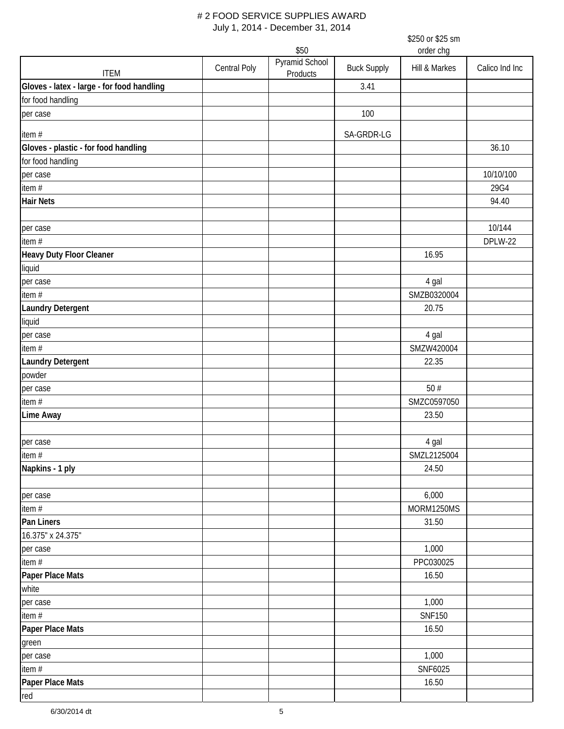|                                            |                   | \$250 or \$25 sm           |                    |               |                |  |
|--------------------------------------------|-------------------|----------------------------|--------------------|---------------|----------------|--|
|                                            | order chg<br>\$50 |                            |                    |               |                |  |
| <b>ITEM</b>                                | Central Poly      | Pyramid School<br>Products | <b>Buck Supply</b> | Hill & Markes | Calico Ind Inc |  |
| Gloves - latex - large - for food handling |                   |                            | 3.41               |               |                |  |
| for food handling                          |                   |                            |                    |               |                |  |
| per case                                   |                   |                            | 100                |               |                |  |
| item#                                      |                   |                            | SA-GRDR-LG         |               |                |  |
| Gloves - plastic - for food handling       |                   |                            |                    |               | 36.10          |  |
| for food handling                          |                   |                            |                    |               |                |  |
| per case                                   |                   |                            |                    |               | 10/10/100      |  |
| item #                                     |                   |                            |                    |               | 29G4           |  |
| <b>Hair Nets</b>                           |                   |                            |                    |               | 94.40          |  |
| per case                                   |                   |                            |                    |               | 10/144         |  |
| item #                                     |                   |                            |                    |               | DPLW-22        |  |
| Heavy Duty Floor Cleaner                   |                   |                            |                    | 16.95         |                |  |
| liquid                                     |                   |                            |                    |               |                |  |
| per case                                   |                   |                            |                    | 4 gal         |                |  |
| item#                                      |                   |                            |                    | SMZB0320004   |                |  |
| <b>Laundry Detergent</b>                   |                   |                            |                    | 20.75         |                |  |
| liquid                                     |                   |                            |                    |               |                |  |
| per case                                   |                   |                            |                    | 4 gal         |                |  |
| item#                                      |                   |                            |                    | SMZW420004    |                |  |
| <b>Laundry Detergent</b>                   |                   |                            |                    | 22.35         |                |  |
| powder                                     |                   |                            |                    |               |                |  |
| per case                                   |                   |                            |                    | 50#           |                |  |
| item $#$                                   |                   |                            |                    | SMZC0597050   |                |  |
| <b>Lime Away</b>                           |                   |                            |                    | 23.50         |                |  |
| per case                                   |                   |                            |                    | 4 gal         |                |  |
| item $#$                                   |                   |                            |                    | SMZL2125004   |                |  |
| Napkins - 1 ply                            |                   |                            |                    | 24.50         |                |  |
|                                            |                   |                            |                    |               |                |  |
| per case                                   |                   |                            |                    | 6,000         |                |  |
| item $#$                                   |                   |                            |                    | MORM1250MS    |                |  |
| Pan Liners                                 |                   |                            |                    | 31.50         |                |  |
| 16.375" x 24.375"                          |                   |                            |                    |               |                |  |
| per case                                   |                   |                            |                    | 1,000         |                |  |
| item $#$                                   |                   |                            |                    | PPC030025     |                |  |
| Paper Place Mats                           |                   |                            |                    | 16.50         |                |  |
| white                                      |                   |                            |                    |               |                |  |
| per case                                   |                   |                            |                    | 1,000         |                |  |
| item $#$                                   |                   |                            |                    | <b>SNF150</b> |                |  |
| Paper Place Mats                           |                   |                            |                    | 16.50         |                |  |
| green                                      |                   |                            |                    |               |                |  |
| per case                                   |                   |                            |                    | 1,000         |                |  |
| item #                                     |                   |                            |                    | SNF6025       |                |  |
| Paper Place Mats                           |                   |                            |                    | 16.50         |                |  |
| red                                        |                   |                            |                    |               |                |  |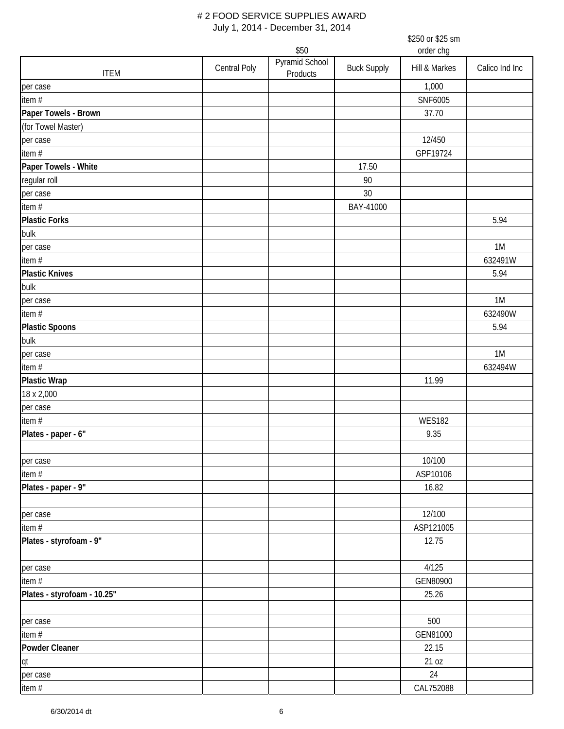|                             | \$250 or \$25 sm    |                            |                    |               |                |  |
|-----------------------------|---------------------|----------------------------|--------------------|---------------|----------------|--|
|                             | order chg<br>\$50   |                            |                    |               |                |  |
| <b>ITEM</b>                 | <b>Central Poly</b> | Pyramid School<br>Products | <b>Buck Supply</b> | Hill & Markes | Calico Ind Inc |  |
| per case                    |                     |                            |                    | 1,000         |                |  |
| item #                      |                     |                            |                    | SNF6005       |                |  |
| Paper Towels - Brown        |                     |                            |                    | 37.70         |                |  |
| (for Towel Master)          |                     |                            |                    |               |                |  |
| per case                    |                     |                            |                    | 12/450        |                |  |
| item #                      |                     |                            |                    | GPF19724      |                |  |
| Paper Towels - White        |                     |                            | 17.50              |               |                |  |
| regular roll                |                     |                            | 90                 |               |                |  |
| per case                    |                     |                            | 30                 |               |                |  |
| item#                       |                     |                            | BAY-41000          |               |                |  |
| <b>Plastic Forks</b>        |                     |                            |                    |               | 5.94           |  |
| bulk                        |                     |                            |                    |               |                |  |
| per case                    |                     |                            |                    |               | 1M             |  |
| item#                       |                     |                            |                    |               | 632491W        |  |
| <b>Plastic Knives</b>       |                     |                            |                    |               | 5.94           |  |
| bulk                        |                     |                            |                    |               |                |  |
| per case                    |                     |                            |                    |               | 1M             |  |
| item #                      |                     |                            |                    |               | 632490W        |  |
| <b>Plastic Spoons</b>       |                     |                            |                    |               | 5.94           |  |
| bulk                        |                     |                            |                    |               |                |  |
| per case                    |                     |                            |                    |               | 1M             |  |
| item#                       |                     |                            |                    |               | 632494W        |  |
| <b>Plastic Wrap</b>         |                     |                            |                    | 11.99         |                |  |
| 18 x 2,000                  |                     |                            |                    |               |                |  |
| per case                    |                     |                            |                    |               |                |  |
| item#                       |                     |                            |                    | <b>WES182</b> |                |  |
| Plates - paper - 6"         |                     |                            |                    | 9.35          |                |  |
|                             |                     |                            |                    |               |                |  |
| per case                    |                     |                            |                    | 10/100        |                |  |
| item #                      |                     |                            |                    | ASP10106      |                |  |
| Plates - paper - 9"         |                     |                            |                    | 16.82         |                |  |
|                             |                     |                            |                    |               |                |  |
| per case                    |                     |                            |                    | 12/100        |                |  |
| item #                      |                     |                            |                    | ASP121005     |                |  |
| Plates - styrofoam - 9"     |                     |                            |                    | 12.75         |                |  |
|                             |                     |                            |                    |               |                |  |
| per case                    |                     |                            |                    | 4/125         |                |  |
| item #                      |                     |                            |                    | GEN80900      |                |  |
| Plates - styrofoam - 10.25" |                     |                            |                    | 25.26         |                |  |
|                             |                     |                            |                    |               |                |  |
| per case                    |                     |                            |                    | 500           |                |  |
| item #                      |                     |                            |                    | GEN81000      |                |  |
| Powder Cleaner              |                     |                            |                    | 22.15         |                |  |
| qt                          |                     |                            |                    | 21 oz         |                |  |
| per case                    |                     |                            |                    | 24            |                |  |
| item #                      |                     |                            |                    | CAL752088     |                |  |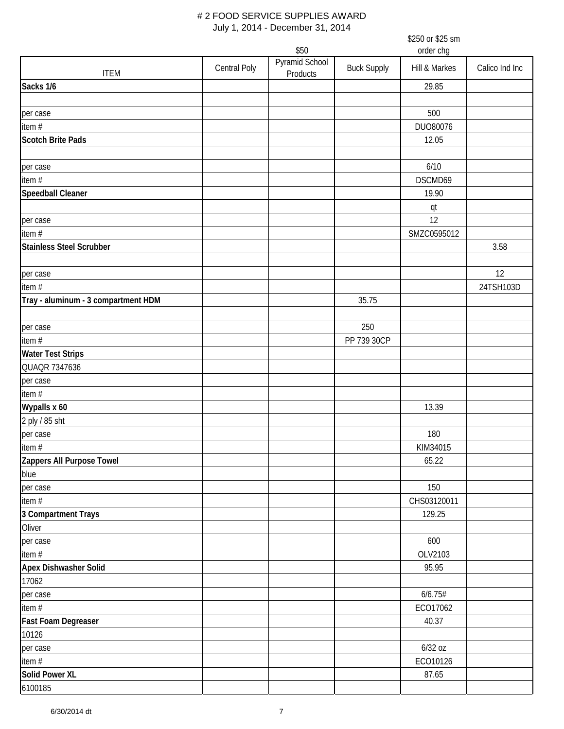|                                     |                     | \$50                       |                    | order chg     |                |
|-------------------------------------|---------------------|----------------------------|--------------------|---------------|----------------|
| <b>ITEM</b>                         | <b>Central Poly</b> | Pyramid School<br>Products | <b>Buck Supply</b> | Hill & Markes | Calico Ind Inc |
| Sacks 1/6                           |                     |                            |                    | 29.85         |                |
|                                     |                     |                            |                    |               |                |
| per case                            |                     |                            |                    | 500           |                |
| item #                              |                     |                            |                    | DUO80076      |                |
| <b>Scotch Brite Pads</b>            |                     |                            |                    | 12.05         |                |
|                                     |                     |                            |                    |               |                |
| per case                            |                     |                            |                    | 6/10          |                |
| item#                               |                     |                            |                    | DSCMD69       |                |
| <b>Speedball Cleaner</b>            |                     |                            |                    | 19.90         |                |
|                                     |                     |                            |                    | qt            |                |
| per case                            |                     |                            |                    | 12            |                |
| item $#$                            |                     |                            |                    | SMZC0595012   |                |
| <b>Stainless Steel Scrubber</b>     |                     |                            |                    |               | 3.58           |
|                                     |                     |                            |                    |               |                |
| per case                            |                     |                            |                    |               | 12             |
| item #                              |                     |                            |                    |               | 24TSH103D      |
| Tray - aluminum - 3 compartment HDM |                     |                            | 35.75              |               |                |
|                                     |                     |                            |                    |               |                |
| per case                            |                     |                            | 250                |               |                |
| item #                              |                     |                            | PP 739 30CP        |               |                |
| <b>Water Test Strips</b>            |                     |                            |                    |               |                |
| QUAQR 7347636                       |                     |                            |                    |               |                |
| per case                            |                     |                            |                    |               |                |
| item #                              |                     |                            |                    |               |                |
| Wypalls x 60                        |                     |                            |                    | 13.39         |                |
|                                     |                     |                            |                    |               |                |
| 2 ply / 85 sht                      |                     |                            |                    |               |                |
| per case                            |                     |                            |                    | 180           |                |
| item#                               |                     |                            |                    | KIM34015      |                |
| Zappers All Purpose Towel           |                     |                            |                    | 65.22         |                |
| blue                                |                     |                            |                    |               |                |
| per case                            |                     |                            |                    | 150           |                |
| item #                              |                     |                            |                    | CHS03120011   |                |
| 3 Compartment Trays                 |                     |                            |                    | 129.25        |                |
| Oliver                              |                     |                            |                    |               |                |
| per case                            |                     |                            |                    | 600           |                |
| item #                              |                     |                            |                    | OLV2103       |                |
| Apex Dishwasher Solid               |                     |                            |                    | 95.95         |                |
| 17062                               |                     |                            |                    |               |                |
| per case                            |                     |                            |                    | 6/6.75#       |                |
| item#                               |                     |                            |                    | ECO17062      |                |
| Fast Foam Degreaser                 |                     |                            |                    | 40.37         |                |
| 10126                               |                     |                            |                    |               |                |
| per case                            |                     |                            |                    | $6/32$ oz     |                |
| item $#$                            |                     |                            |                    | ECO10126      |                |
| Solid Power XL                      |                     |                            |                    | 87.65         |                |
| 6100185                             |                     |                            |                    |               |                |